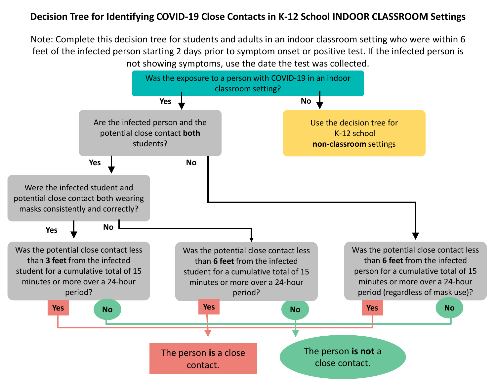## **Decision Tree for Identifying COVID-19 Close Contacts in K-12 School INDOOR CLASSROOM Settings**

Note: Complete this decision tree for students and adults in an indoor classroom setting who were within 6 feet of the infected person starting 2 days prior to symptom onset or positive test. If the infected person is not showing symptoms, use the date the test was collected.